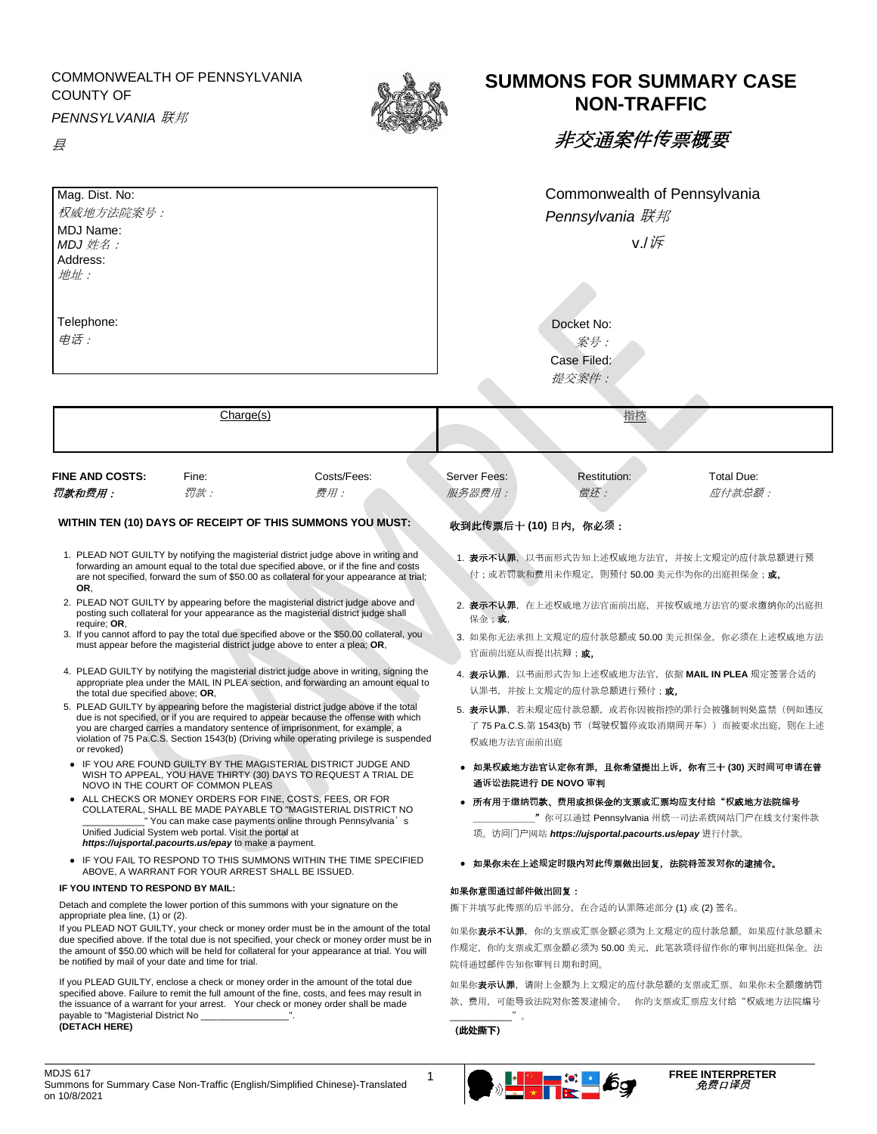COMMONWEALTH OF PENNSYLVANIA COUNTY OF

*PENNSYLVANIA* 联邦

县



## **SUMMONS FOR SUMMARY CASE NON-TRAFFIC**

非交通案件**传**票概要

| Mag. Dist. No:<br>权威地方法院案号:<br>MDJ Name:<br>$MDJ$ 姓名:                                                                                                                                                                                                                                                                                                                                                                                                                     |           |                                                                                           | Commonwealth of Pennsylvania<br>Pennsylvania 联邦<br>$V.l \nV$                                                                         |              |                   |                   |  |  |                   |  |  |
|---------------------------------------------------------------------------------------------------------------------------------------------------------------------------------------------------------------------------------------------------------------------------------------------------------------------------------------------------------------------------------------------------------------------------------------------------------------------------|-----------|-------------------------------------------------------------------------------------------|--------------------------------------------------------------------------------------------------------------------------------------|--------------|-------------------|-------------------|--|--|-------------------|--|--|
|                                                                                                                                                                                                                                                                                                                                                                                                                                                                           |           |                                                                                           |                                                                                                                                      |              |                   | Address:<br>地址:   |  |  |                   |  |  |
|                                                                                                                                                                                                                                                                                                                                                                                                                                                                           |           |                                                                                           |                                                                                                                                      |              |                   | Telephone:<br>电话: |  |  | Docket No:<br>案号: |  |  |
|                                                                                                                                                                                                                                                                                                                                                                                                                                                                           |           |                                                                                           |                                                                                                                                      |              |                   |                   |  |  |                   |  |  |
|                                                                                                                                                                                                                                                                                                                                                                                                                                                                           |           |                                                                                           |                                                                                                                                      | 提交案件:        |                   |                   |  |  |                   |  |  |
|                                                                                                                                                                                                                                                                                                                                                                                                                                                                           |           |                                                                                           |                                                                                                                                      |              |                   |                   |  |  |                   |  |  |
|                                                                                                                                                                                                                                                                                                                                                                                                                                                                           | Charge(s) |                                                                                           |                                                                                                                                      | 指控           |                   |                   |  |  |                   |  |  |
|                                                                                                                                                                                                                                                                                                                                                                                                                                                                           |           |                                                                                           |                                                                                                                                      |              |                   |                   |  |  |                   |  |  |
| <b>FINE AND COSTS:</b>                                                                                                                                                                                                                                                                                                                                                                                                                                                    | Fine:     | Costs/Fees:                                                                               | Server Fees:                                                                                                                         | Restitution: | <b>Total Due:</b> |                   |  |  |                   |  |  |
| 罚款和费用:                                                                                                                                                                                                                                                                                                                                                                                                                                                                    | 罚款:       | 费用:                                                                                       | 服务器费用:                                                                                                                               | 偿还:          | 应付款总额 :           |                   |  |  |                   |  |  |
|                                                                                                                                                                                                                                                                                                                                                                                                                                                                           |           |                                                                                           |                                                                                                                                      |              |                   |                   |  |  |                   |  |  |
|                                                                                                                                                                                                                                                                                                                                                                                                                                                                           |           | WITHIN TEN (10) DAYS OF RECEIPT OF THIS SUMMONS YOU MUST:                                 | 收到此传票后十(10)日内, 你必须:                                                                                                                  |              |                   |                   |  |  |                   |  |  |
|                                                                                                                                                                                                                                                                                                                                                                                                                                                                           |           | 1. PLEAD NOT GUILTY by notifying the magisterial district judge above in writing and      |                                                                                                                                      |              |                   |                   |  |  |                   |  |  |
|                                                                                                                                                                                                                                                                                                                                                                                                                                                                           |           | forwarding an amount equal to the total due specified above, or if the fine and costs     | 1. <b>表示不认罪</b> ,以书面形式告知上述权威地方法官,并按上文规定的应付款总额进行预<br>付;或若罚款和费用未作规定,则预付 50.00 美元作为你的出庭担保金; <b>或,</b>                                   |              |                   |                   |  |  |                   |  |  |
| OR,                                                                                                                                                                                                                                                                                                                                                                                                                                                                       |           | are not specified, forward the sum of \$50.00 as collateral for your appearance at trial; |                                                                                                                                      |              |                   |                   |  |  |                   |  |  |
| 2. PLEAD NOT GUILTY by appearing before the magisterial district judge above and<br>posting such collateral for your appearance as the magisterial district judge shall<br>require: OR.                                                                                                                                                                                                                                                                                   |           |                                                                                           | 2. 表示不认罪,在上述权威地方法官面前出庭,并按权威地方法官的要求缴纳你的出庭担<br>保金:或,                                                                                   |              |                   |                   |  |  |                   |  |  |
| 3. If you cannot afford to pay the total due specified above or the \$50.00 collateral, you<br>must appear before the magisterial district judge above to enter a plea; OR,                                                                                                                                                                                                                                                                                               |           |                                                                                           | 3. 如果你无法承担上文规定的应付款总额或 50.00 美元担保金,你必须在上述权威地方法<br>官面前出庭从而提出抗辩; <b>或,</b>                                                              |              |                   |                   |  |  |                   |  |  |
| 4. PLEAD GUILTY by notifying the magisterial district judge above in writing, signing the<br>appropriate plea under the MAIL IN PLEA section, and forwarding an amount equal to<br>the total due specified above; OR,                                                                                                                                                                                                                                                     |           |                                                                                           | 4. 表示认罪,以书面形式告知上述权威地方法官,依据 MAIL IN PLEA 规定签署合适的<br>认罪书, 并按上文规定的应付款总额进行预付; <b>或,</b>                                                  |              |                   |                   |  |  |                   |  |  |
| 5. PLEAD GUILTY by appearing before the magisterial district judge above if the total<br>due is not specified, or if you are required to appear because the offense with which<br>you are charged carries a mandatory sentence of imprisonment, for example, a<br>violation of 75 Pa.C.S. Section 1543(b) (Driving while operating privilege is suspended<br>or revoked)                                                                                                  |           |                                                                                           | 5. 表示认罪,若未规定应付款总额,或若你因被指控的罪行会被强制判处监禁(例如违反<br>了 75 Pa.C.S.第 1543(b) 节(驾驶权暂停或取消期间开车))而被要求出庭,则在上述<br>权威地方法官面前出庭                         |              |                   |                   |  |  |                   |  |  |
| • IF YOU ARE FOUND GUILTY BY THE MAGISTERIAL DISTRICT JUDGE AND<br>WISH TO APPEAL, YOU HAVE THIRTY (30) DAYS TO REQUEST A TRIAL DE<br>NOVO IN THE COURT OF COMMON PLEAS                                                                                                                                                                                                                                                                                                   |           |                                                                                           | ● 如果权威地方法官认定你有罪,且你希望提出上诉,你有三十 (30) 天时间可申请在普<br>通诉讼法院进行 DE NOVO 审判                                                                    |              |                   |                   |  |  |                   |  |  |
| • ALL CHECKS OR MONEY ORDERS FOR FINE, COSTS, FEES, OR FOR<br>COLLATERAL, SHALL BE MADE PAYABLE TO "MAGISTERIAL DISTRICT NO<br>" You can make case payments online through Pennsylvania's<br>Unified Judicial System web portal. Visit the portal at<br>https://ujsportal.pacourts.us/epay to make a payment.                                                                                                                                                             |           |                                                                                           | ● 所有用于缴纳罚款、费用或担保金的支票或汇票均应支付给"权威地方法院编号<br>"你可以通过 Pennsylvania 州统一司法系统网站门户在线支付案件款<br>项。访问门户网站 https://ujsportal.pacourts.us/epay 进行付款。 |              |                   |                   |  |  |                   |  |  |
| • IF YOU FAIL TO RESPOND TO THIS SUMMONS WITHIN THE TIME SPECIFIED<br>ABOVE, A WARRANT FOR YOUR ARREST SHALL BE ISSUED.                                                                                                                                                                                                                                                                                                                                                   |           |                                                                                           | ● 如果你未在上述规定时限内对此传票做出回复,法院将签发对你的逮捕令。                                                                                                  |              |                   |                   |  |  |                   |  |  |
| IF YOU INTEND TO RESPOND BY MAIL:                                                                                                                                                                                                                                                                                                                                                                                                                                         |           |                                                                                           | 如果你意图通过邮件做出回复:                                                                                                                       |              |                   |                   |  |  |                   |  |  |
| Detach and complete the lower portion of this summons with your signature on the<br>appropriate plea line, (1) or (2).<br>If you PLEAD NOT GUILTY, your check or money order must be in the amount of the total<br>due specified above. If the total due is not specified, your check or money order must be in<br>the amount of \$50.00 which will be held for collateral for your appearance at trial. You will<br>be notified by mail of your date and time for trial. |           |                                                                                           | 撕下并填写此传票的后半部分,在合适的认罪陈述部分 (1) 或 (2) 签名。                                                                                               |              |                   |                   |  |  |                   |  |  |
|                                                                                                                                                                                                                                                                                                                                                                                                                                                                           |           |                                                                                           | 如果你 <b>表示不认罪</b> ,你的支票或汇票金额必须为上文规定的应付款总额。如果应付款总额未                                                                                    |              |                   |                   |  |  |                   |  |  |
|                                                                                                                                                                                                                                                                                                                                                                                                                                                                           |           |                                                                                           | 作规定, 你的支票或汇票金额必须为50.00 美元, 此笔款项将留作你的审判出庭担保金。法<br>院将通过邮件告知你审判日期和时间。                                                                   |              |                   |                   |  |  |                   |  |  |
|                                                                                                                                                                                                                                                                                                                                                                                                                                                                           |           | If you PLEAD GUILTY, enclose a check or money order in the amount of the total due        |                                                                                                                                      |              |                   |                   |  |  |                   |  |  |
| specified above. Failure to remit the full amount of the fine, costs, and fees may result in<br>the issuance of a warrant for your arrest. Your check or money order shall be made<br>payable to "Magisterial District No ______________________".                                                                                                                                                                                                                        |           |                                                                                           | 如果你 <b>表示认罪</b> ,请附上金额为上文规定的应付款总额的支票或汇票。如果你未全额缴纳罚<br>款、费用,可能导致法院对你签发逮捕令。 你的支票或汇票应支付给"权威地方法院编号<br>$\overline{\phantom{a}}$            |              |                   |                   |  |  |                   |  |  |
| (DETACH HERE)                                                                                                                                                                                                                                                                                                                                                                                                                                                             |           |                                                                                           | (此处撕下)                                                                                                                               |              |                   |                   |  |  |                   |  |  |
|                                                                                                                                                                                                                                                                                                                                                                                                                                                                           |           |                                                                                           |                                                                                                                                      |              |                   |                   |  |  |                   |  |  |
|                                                                                                                                                                                                                                                                                                                                                                                                                                                                           |           |                                                                                           |                                                                                                                                      |              |                   |                   |  |  |                   |  |  |